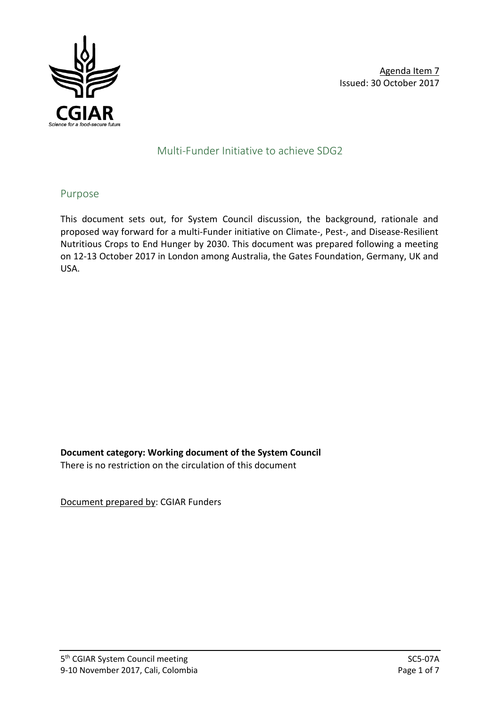

# Multi-Funder Initiative to achieve SDG2

## Purpose

This document sets out, for System Council discussion, the background, rationale and proposed way forward for a multi-Funder initiative on Climate-, Pest-, and Disease-Resilient Nutritious Crops to End Hunger by 2030. This document was prepared following a meeting on 12-13 October 2017 in London among Australia, the Gates Foundation, Germany, UK and USA.

**Document category: Working document of the System Council**

There is no restriction on the circulation of this document

Document prepared by: CGIAR Funders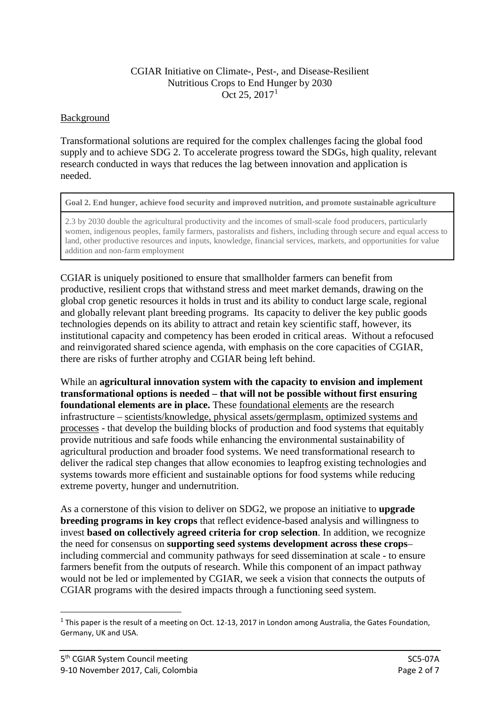#### CGIAR Initiative on Climate-, Pest-, and Disease-Resilient Nutritious Crops to End Hunger by 2030 Oct 25, 2017[1](#page-1-0)

#### **Background**

Transformational solutions are required for the complex challenges facing the global food supply and to achieve SDG 2. To accelerate progress toward the SDGs, high quality, relevant research conducted in ways that reduces the lag between innovation and application is needed.

**Goal 2. End hunger, achieve food security and improved nutrition, and promote sustainable agriculture**

2.3 by 2030 double the agricultural productivity and the incomes of small-scale food producers, particularly women, indigenous peoples, family farmers, pastoralists and fishers, including through secure and equal access to land, other productive resources and inputs, knowledge, financial services, markets, and opportunities for value addition and non-farm employment

CGIAR is uniquely positioned to ensure that smallholder farmers can benefit from productive, resilient crops that withstand stress and meet market demands, drawing on the global crop genetic resources it holds in trust and its ability to conduct large scale, regional and globally relevant plant breeding programs. Its capacity to deliver the key public goods technologies depends on its ability to attract and retain key scientific staff, however, its institutional capacity and competency has been eroded in critical areas. Without a refocused and reinvigorated shared science agenda, with emphasis on the core capacities of CGIAR, there are risks of further atrophy and CGIAR being left behind.

While an **agricultural innovation system with the capacity to envision and implement transformational options is needed – that will not be possible without first ensuring foundational elements are in place.** These foundational elements are the research infrastructure – scientists/knowledge, physical assets/germplasm, optimized systems and processes - that develop the building blocks of production and food systems that equitably provide nutritious and safe foods while enhancing the environmental sustainability of agricultural production and broader food systems. We need transformational research to deliver the radical step changes that allow economies to leapfrog existing technologies and systems towards more efficient and sustainable options for food systems while reducing extreme poverty, hunger and undernutrition.

As a cornerstone of this vision to deliver on SDG2, we propose an initiative to **upgrade breeding programs in key crops** that reflect evidence-based analysis and willingness to invest **based on collectively agreed criteria for crop selection**. In addition, we recognize the need for consensus on **supporting seed systems development across these crops**– including commercial and community pathways for seed dissemination at scale - to ensure farmers benefit from the outputs of research. While this component of an impact pathway would not be led or implemented by CGIAR, we seek a vision that connects the outputs of CGIAR programs with the desired impacts through a functioning seed system.

<span id="page-1-0"></span><sup>&</sup>lt;sup>1</sup> This paper is the result of a meeting on Oct. 12-13, 2017 in London among Australia, the Gates Foundation, Germany, UK and USA.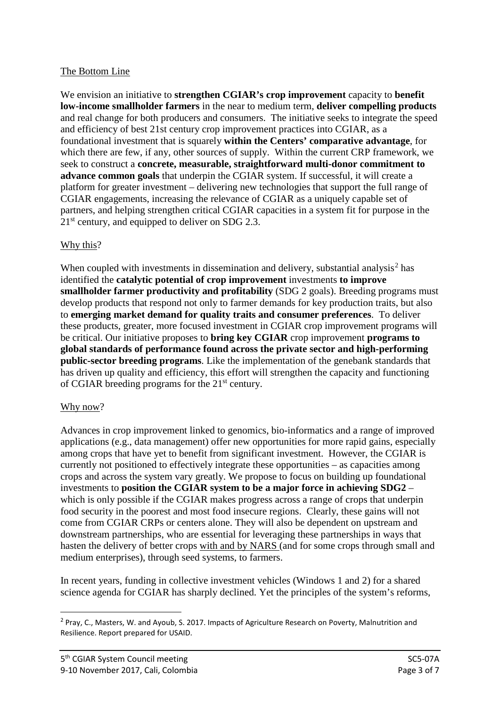# The Bottom Line

We envision an initiative to **strengthen CGIAR's crop improvement** capacity to **benefit low-income smallholder farmers** in the near to medium term, **deliver compelling products** and real change for both producers and consumers. The initiative seeks to integrate the speed and efficiency of best 21st century crop improvement practices into CGIAR, as a foundational investment that is squarely **within the Centers' comparative advantage**, for which there are few, if any, other sources of supply. Within the current CRP framework, we seek to construct a **concrete, measurable, straightforward multi-donor commitment to advance common goals** that underpin the CGIAR system. If successful, it will create a platform for greater investment – delivering new technologies that support the full range of CGIAR engagements, increasing the relevance of CGIAR as a uniquely capable set of partners, and helping strengthen critical CGIAR capacities in a system fit for purpose in the  $21<sup>st</sup>$  century, and equipped to deliver on SDG 2.3.

## Why this?

When coupled with investments in dissemination and delivery, substantial analysis<sup>[2](#page-2-0)</sup> has identified the **catalytic potential of crop improvement** investments **to improve smallholder farmer productivity and profitability** (SDG 2 goals). Breeding programs must develop products that respond not only to farmer demands for key production traits, but also to **emerging market demand for quality traits and consumer preferences**. To deliver these products, greater, more focused investment in CGIAR crop improvement programs will be critical. Our initiative proposes to **bring key CGIAR** crop improvement **programs to global standards of performance found across the private sector and high-performing public-sector breeding programs**. Like the implementation of the genebank standards that has driven up quality and efficiency, this effort will strengthen the capacity and functioning of CGIAR breeding programs for the 21st century.

#### Why now?

Advances in crop improvement linked to genomics, bio-informatics and a range of improved applications (e.g., data management) offer new opportunities for more rapid gains, especially among crops that have yet to benefit from significant investment. However, the CGIAR is currently not positioned to effectively integrate these opportunities – as capacities among crops and across the system vary greatly. We propose to focus on building up foundational investments to **position the CGIAR system to be a major force in achieving SDG2** – which is only possible if the CGIAR makes progress across a range of crops that underpin food security in the poorest and most food insecure regions. Clearly, these gains will not come from CGIAR CRPs or centers alone. They will also be dependent on upstream and downstream partnerships, who are essential for leveraging these partnerships in ways that hasten the delivery of better crops with and by NARS (and for some crops through small and medium enterprises), through seed systems, to farmers.

In recent years, funding in collective investment vehicles (Windows 1 and 2) for a shared science agenda for CGIAR has sharply declined. Yet the principles of the system's reforms,

<span id="page-2-0"></span><sup>&</sup>lt;sup>2</sup> Pray, C., Masters, W. and Ayoub, S. 2017. Impacts of Agriculture Research on Poverty, Malnutrition and Resilience. Report prepared for USAID.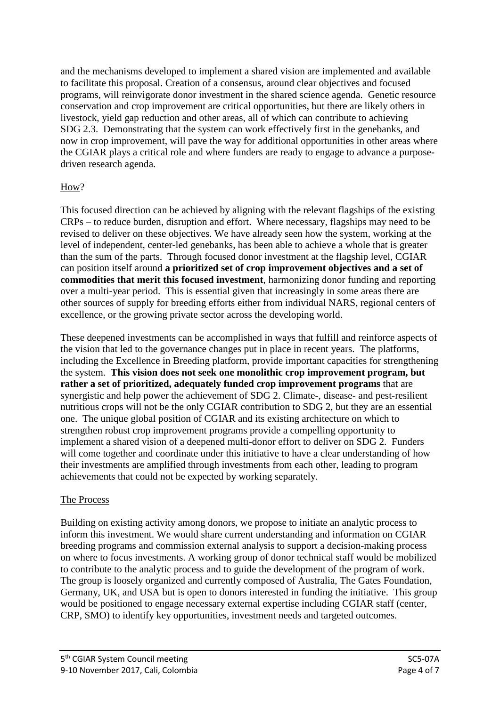and the mechanisms developed to implement a shared vision are implemented and available to facilitate this proposal. Creation of a consensus, around clear objectives and focused programs, will reinvigorate donor investment in the shared science agenda. Genetic resource conservation and crop improvement are critical opportunities, but there are likely others in livestock, yield gap reduction and other areas, all of which can contribute to achieving SDG 2.3. Demonstrating that the system can work effectively first in the genebanks, and now in crop improvement, will pave the way for additional opportunities in other areas where the CGIAR plays a critical role and where funders are ready to engage to advance a purposedriven research agenda.

## How?

This focused direction can be achieved by aligning with the relevant flagships of the existing CRPs – to reduce burden, disruption and effort. Where necessary, flagships may need to be revised to deliver on these objectives. We have already seen how the system, working at the level of independent, center-led genebanks, has been able to achieve a whole that is greater than the sum of the parts. Through focused donor investment at the flagship level, CGIAR can position itself around **a prioritized set of crop improvement objectives and a set of commodities that merit this focused investment**, harmonizing donor funding and reporting over a multi-year period. This is essential given that increasingly in some areas there are other sources of supply for breeding efforts either from individual NARS, regional centers of excellence, or the growing private sector across the developing world.

These deepened investments can be accomplished in ways that fulfill and reinforce aspects of the vision that led to the governance changes put in place in recent years. The platforms, including the Excellence in Breeding platform, provide important capacities for strengthening the system. **This vision does not seek one monolithic crop improvement program, but rather a set of prioritized, adequately funded crop improvement programs** that are synergistic and help power the achievement of SDG 2. Climate-, disease- and pest-resilient nutritious crops will not be the only CGIAR contribution to SDG 2, but they are an essential one. The unique global position of CGIAR and its existing architecture on which to strengthen robust crop improvement programs provide a compelling opportunity to implement a shared vision of a deepened multi-donor effort to deliver on SDG 2. Funders will come together and coordinate under this initiative to have a clear understanding of how their investments are amplified through investments from each other, leading to program achievements that could not be expected by working separately.

#### The Process

Building on existing activity among donors, we propose to initiate an analytic process to inform this investment. We would share current understanding and information on CGIAR breeding programs and commission external analysis to support a decision-making process on where to focus investments. A working group of donor technical staff would be mobilized to contribute to the analytic process and to guide the development of the program of work. The group is loosely organized and currently composed of Australia, The Gates Foundation, Germany, UK, and USA but is open to donors interested in funding the initiative. This group would be positioned to engage necessary external expertise including CGIAR staff (center, CRP, SMO) to identify key opportunities, investment needs and targeted outcomes.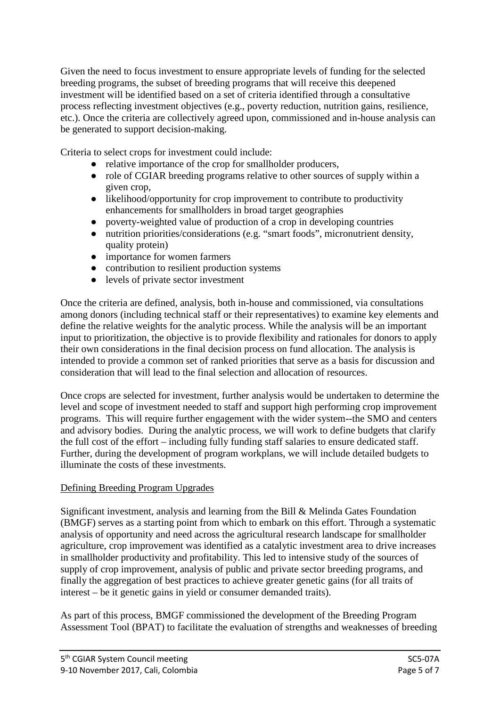Given the need to focus investment to ensure appropriate levels of funding for the selected breeding programs, the subset of breeding programs that will receive this deepened investment will be identified based on a set of criteria identified through a consultative process reflecting investment objectives (e.g., poverty reduction, nutrition gains, resilience, etc.). Once the criteria are collectively agreed upon, commissioned and in-house analysis can be generated to support decision-making.

Criteria to select crops for investment could include:

- relative importance of the crop for smallholder producers,
- role of CGIAR breeding programs relative to other sources of supply within a given crop,
- likelihood/opportunity for crop improvement to contribute to productivity enhancements for smallholders in broad target geographies
- poverty-weighted value of production of a crop in developing countries
- nutrition priorities/considerations (e.g. "smart foods", micronutrient density, quality protein)
- importance for women farmers
- contribution to resilient production systems
- levels of private sector investment

Once the criteria are defined, analysis, both in-house and commissioned, via consultations among donors (including technical staff or their representatives) to examine key elements and define the relative weights for the analytic process. While the analysis will be an important input to prioritization, the objective is to provide flexibility and rationales for donors to apply their own considerations in the final decision process on fund allocation. The analysis is intended to provide a common set of ranked priorities that serve as a basis for discussion and consideration that will lead to the final selection and allocation of resources.

Once crops are selected for investment, further analysis would be undertaken to determine the level and scope of investment needed to staff and support high performing crop improvement programs. This will require further engagement with the wider system--the SMO and centers and advisory bodies. During the analytic process, we will work to define budgets that clarify the full cost of the effort – including fully funding staff salaries to ensure dedicated staff. Further, during the development of program workplans, we will include detailed budgets to illuminate the costs of these investments.

# Defining Breeding Program Upgrades

Significant investment, analysis and learning from the Bill & Melinda Gates Foundation (BMGF) serves as a starting point from which to embark on this effort. Through a systematic analysis of opportunity and need across the agricultural research landscape for smallholder agriculture, crop improvement was identified as a catalytic investment area to drive increases in smallholder productivity and profitability. This led to intensive study of the sources of supply of crop improvement, analysis of public and private sector breeding programs, and finally the aggregation of best practices to achieve greater genetic gains (for all traits of interest – be it genetic gains in yield or consumer demanded traits).

As part of this process, BMGF commissioned the development of the Breeding Program Assessment Tool (BPAT) to facilitate the evaluation of strengths and weaknesses of breeding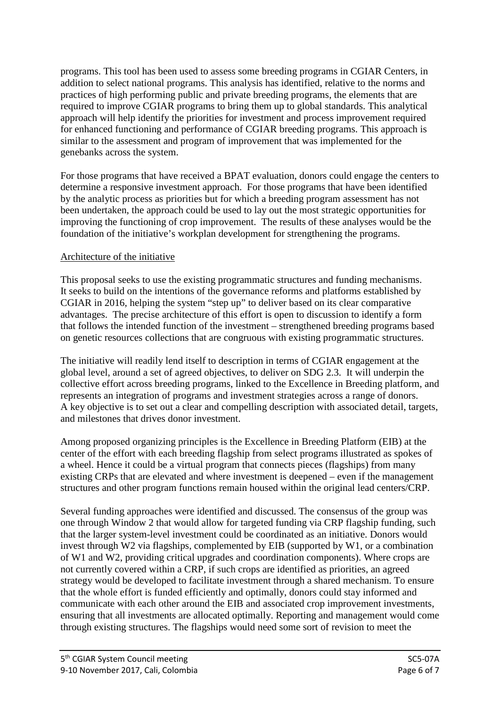programs. This tool has been used to assess some breeding programs in CGIAR Centers, in addition to select national programs. This analysis has identified, relative to the norms and practices of high performing public and private breeding programs, the elements that are required to improve CGIAR programs to bring them up to global standards. This analytical approach will help identify the priorities for investment and process improvement required for enhanced functioning and performance of CGIAR breeding programs. This approach is similar to the assessment and program of improvement that was implemented for the genebanks across the system.

For those programs that have received a BPAT evaluation, donors could engage the centers to determine a responsive investment approach. For those programs that have been identified by the analytic process as priorities but for which a breeding program assessment has not been undertaken, the approach could be used to lay out the most strategic opportunities for improving the functioning of crop improvement. The results of these analyses would be the foundation of the initiative's workplan development for strengthening the programs.

## Architecture of the initiative

This proposal seeks to use the existing programmatic structures and funding mechanisms. It seeks to build on the intentions of the governance reforms and platforms established by CGIAR in 2016, helping the system "step up" to deliver based on its clear comparative advantages. The precise architecture of this effort is open to discussion to identify a form that follows the intended function of the investment – strengthened breeding programs based on genetic resources collections that are congruous with existing programmatic structures.

The initiative will readily lend itself to description in terms of CGIAR engagement at the global level, around a set of agreed objectives, to deliver on SDG 2.3. It will underpin the collective effort across breeding programs, linked to the Excellence in Breeding platform, and represents an integration of programs and investment strategies across a range of donors. A key objective is to set out a clear and compelling description with associated detail, targets, and milestones that drives donor investment.

Among proposed organizing principles is the Excellence in Breeding Platform (EIB) at the center of the effort with each breeding flagship from select programs illustrated as spokes of a wheel. Hence it could be a virtual program that connects pieces (flagships) from many existing CRPs that are elevated and where investment is deepened – even if the management structures and other program functions remain housed within the original lead centers/CRP.

Several funding approaches were identified and discussed. The consensus of the group was one through Window 2 that would allow for targeted funding via CRP flagship funding, such that the larger system-level investment could be coordinated as an initiative. Donors would invest through W2 via flagships, complemented by EIB (supported by W1, or a combination of W1 and W2, providing critical upgrades and coordination components). Where crops are not currently covered within a CRP, if such crops are identified as priorities, an agreed strategy would be developed to facilitate investment through a shared mechanism. To ensure that the whole effort is funded efficiently and optimally, donors could stay informed and communicate with each other around the EIB and associated crop improvement investments, ensuring that all investments are allocated optimally. Reporting and management would come through existing structures. The flagships would need some sort of revision to meet the